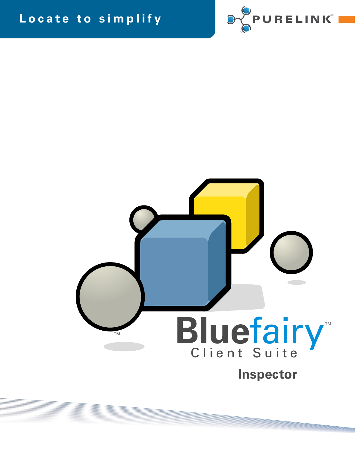## Locate to simplify





**Inspector**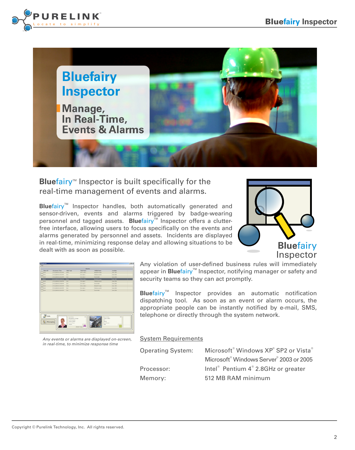



**Bluefairy<sup>™</sup>** Inspector is built specifically for the real-time management of events and alarms.

Bluefairy<sup>™</sup> Inspector handles, both automatically generated and sensor-driven, events and alarms triggered by badge-wearing personnel and tagged assets. **Bluefairy<sup>™</sup> Inspector offers a clutter**free interface, allowing users to focus specifically on the events and alarms generated by personnel and assets. Incidents are displayed in real-time, minimizing response delay and allowing situations to be dealt with as soon as possible.



|             |                          |                  | <b>Alarms</b>      |                      |           |  |
|-------------|--------------------------|------------------|--------------------|----------------------|-----------|--|
| Alarm ID    | <b>Occurrence Time</b>   | <b>Rule Type</b> | <b>Bide Name</b>   | <b>Highlin Name</b>  | Enriebben |  |
| 4232        | 27/11/2008 01/29/29 PM   | Entry            | Elitry code 2      | Disabled Athapo      | Zune 1893 |  |
| 4231        | 237112000 01/29/29 PM    | <b>Y</b> xe      | Ext code 1         | Christina Larami     | Zune 2506 |  |
| 4230        | 27/11/2008 01/29/29 PM   | <b>Diff</b>      | Diff code 1        | Frank Snith          | Zune 2506 |  |
| <b>COV</b>  | 277110000 00 09:07 PM    | <b>State</b>     | <b>Disnupole 2</b> | <b>District Knop</b> | Zune 1893 |  |
| <b>A228</b> | 277112000 01/29/07 PM    | <b>Ext</b>       | Est sade 1         | Christina Loretta    | Zune 2506 |  |
| 4227        | 277110000 00 (29:06.999) | <b>Yat</b>       | Est sade 1         | Frank Snith          | Zune 2506 |  |
| 4226        | 271110000 0030-66194     | Entry            | Ditry side 2       | Highest space        | Zone 1893 |  |
| 4225        | 221110000 01:30-45 PM    | <b>Yat</b>       | Enforced 1         | Chedina Londia       | Zune 2506 |  |
| 4224        | 221110000 01:30-45.996   | <b>Yat</b>       | Enforced 1         | Frank Sndh.          | Zone 2506 |  |
|             |                          |                  |                    |                      |           |  |
|             |                          |                  |                    |                      |           |  |

*Any events or alarms are displayed on-screen, in real-time, to minimize response time*

Any violation of user-defined business rules will immediately appear in **Bluefairy™** Inspector, notifying manager or safety and security teams so they can act promptly.

**Bluefairy<sup>™</sup>** Inspector provides an automatic notification dispatching tool. As soon as an event or alarm occurs, the appropriate people can be instantly notified by e-mail, SMS, telephone or directly through the system network.

System Requirements

| Operating System: | Microsoft <sup>®</sup> Windows XP <sup>®</sup> SP2 or Vista <sup>®</sup> |
|-------------------|--------------------------------------------------------------------------|
|                   | Microsoft <sup>®</sup> Windows Server <sup>®</sup> 2003 or 2005          |
| Processor:        | Intel <sup>®</sup> Pentium 4 <sup>®</sup> 2.8GHz or greater              |
| Memory:           | 512 MB RAM minimum                                                       |